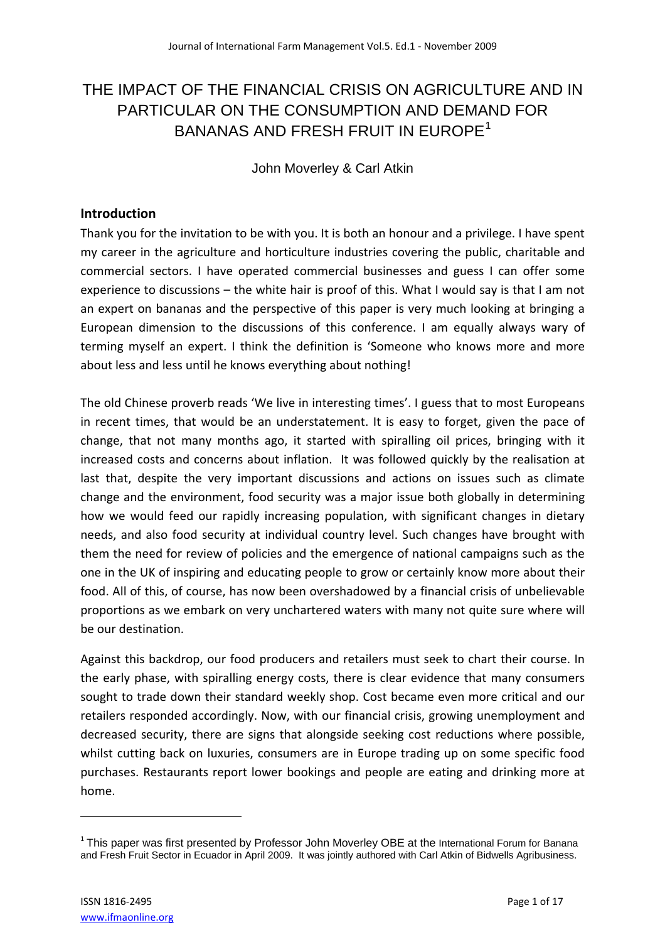# THE IMPACT OF THE FINANCIAL CRISIS ON AGRICULTURE AND IN PARTICULAR ON THE CONSUMPTION AND DEMAND FOR BANANAS AND FRESH FRUIT IN EUROPE<sup>1</sup>

John Moverley & Carl Atkin

## **Introduction**

Thank you for the invitation to be with you. It is both an honour and a privilege. I have spent my career in the agriculture and horticulture industries covering the public, charitable and commercial sectors. I have operated commercial businesses and guess I can offer some experience to discussions – the white hair is proof of this. What I would say is that I am not an expert on bananas and the perspective of this paper is very much looking at bringing a European dimension to the discussions of this conference. I am equally always wary of terming myself an expert. I think the definition is 'Someone who knows more and more about less and less until he knows everything about nothing!

The old Chinese proverb reads 'We live in interesting times'. I guess that to most Europeans in recent times, that would be an understatement. It is easy to forget, given the pace of change, that not many months ago, it started with spiralling oil prices, bringing with it increased costs and concerns about inflation. It was followed quickly by the realisation at last that, despite the very important discussions and actions on issues such as climate change and the environment, food security was a major issue both globally in determining how we would feed our rapidly increasing population, with significant changes in dietary needs, and also food security at individual country level. Such changes have brought with them the need for review of policies and the emergence of national campaigns such as the one in the UK of inspiring and educating people to grow or certainly know more about their food. All of this, of course, has now been overshadowed by a financial crisis of unbelievable proportions as we embark on very unchartered waters with many not quite sure where will be our destination.

Against this backdrop, our food producers and retailers must seek to chart their course. In the early phase, with spiralling energy costs, there is clear evidence that many consumers sought to trade down their standard weekly shop. Cost became even more critical and our retailers responded accordingly. Now, with our financial crisis, growing unemployment and decreased security, there are signs that alongside seeking cost reductions where possible, whilst cutting back on luxuries, consumers are in Europe trading up on some specific food purchases. Restaurants report lower bookings and people are eating and drinking more at home.

 $1$  This paper was first presented by Professor John Moverley OBE at the International Forum for Banana and Fresh Fruit Sector in Ecuador in April 2009. It was jointly authored with Carl Atkin of Bidwells Agribusiness.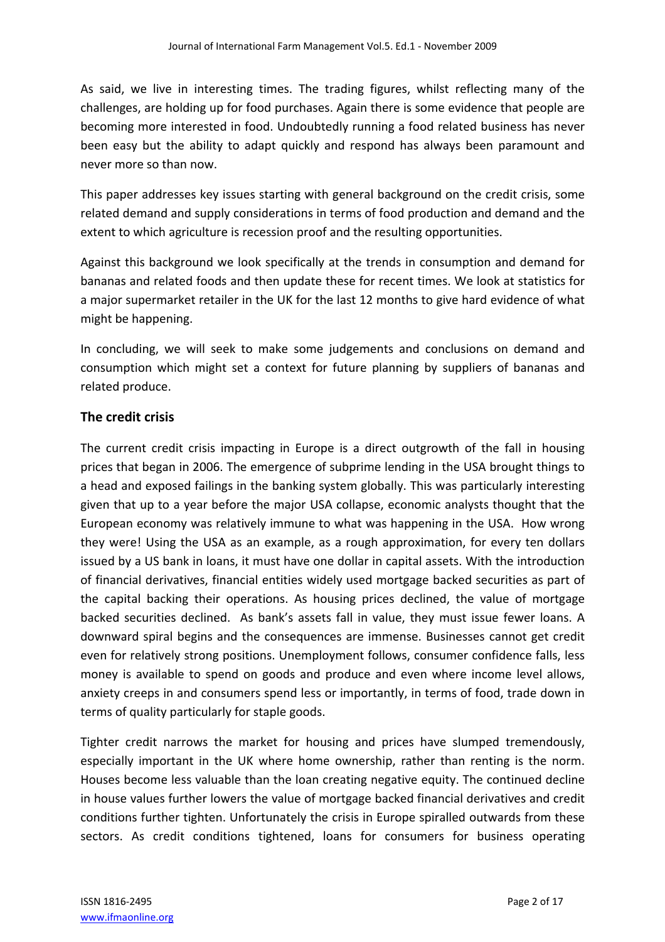As said, we live in interesting times. The trading figures, whilst reflecting many of the challenges, are holding up for food purchases. Again there is some evidence that people are becoming more interested in food. Undoubtedly running a food related business has never been easy but the ability to adapt quickly and respond has always been paramount and never more so than now.

This paper addresses key issues starting with general background on the credit crisis, some related demand and supply considerations in terms of food production and demand and the extent to which agriculture is recession proof and the resulting opportunities.

Against this background we look specifically at the trends in consumption and demand for bananas and related foods and then update these for recent times. We look at statistics for a major supermarket retailer in the UK for the last 12 months to give hard evidence of what might be happening.

In concluding, we will seek to make some judgements and conclusions on demand and consumption which might set a context for future planning by suppliers of bananas and related produce.

## **The credit crisis**

The current credit crisis impacting in Europe is a direct outgrowth of the fall in housing prices that began in 2006. The emergence of subprime lending in the USA brought things to a head and exposed failings in the banking system globally. This was particularly interesting given that up to a year before the major USA collapse, economic analysts thought that the European economy was relatively immune to what was happening in the USA. How wrong they were! Using the USA as an example, as a rough approximation, for every ten dollars issued by a US bank in loans, it must have one dollar in capital assets. With the introduction of financial derivatives, financial entities widely used mortgage backed securities as part of the capital backing their operations. As housing prices declined, the value of mortgage backed securities declined. As bank's assets fall in value, they must issue fewer loans. A downward spiral begins and the consequences are immense. Businesses cannot get credit even for relatively strong positions. Unemployment follows, consumer confidence falls, less money is available to spend on goods and produce and even where income level allows, anxiety creeps in and consumers spend less or importantly, in terms of food, trade down in terms of quality particularly for staple goods.

Tighter credit narrows the market for housing and prices have slumped tremendously, especially important in the UK where home ownership, rather than renting is the norm. Houses become less valuable than the loan creating negative equity. The continued decline in house values further lowers the value of mortgage backed financial derivatives and credit conditions further tighten. Unfortunately the crisis in Europe spiralled outwards from these sectors. As credit conditions tightened, loans for consumers for business operating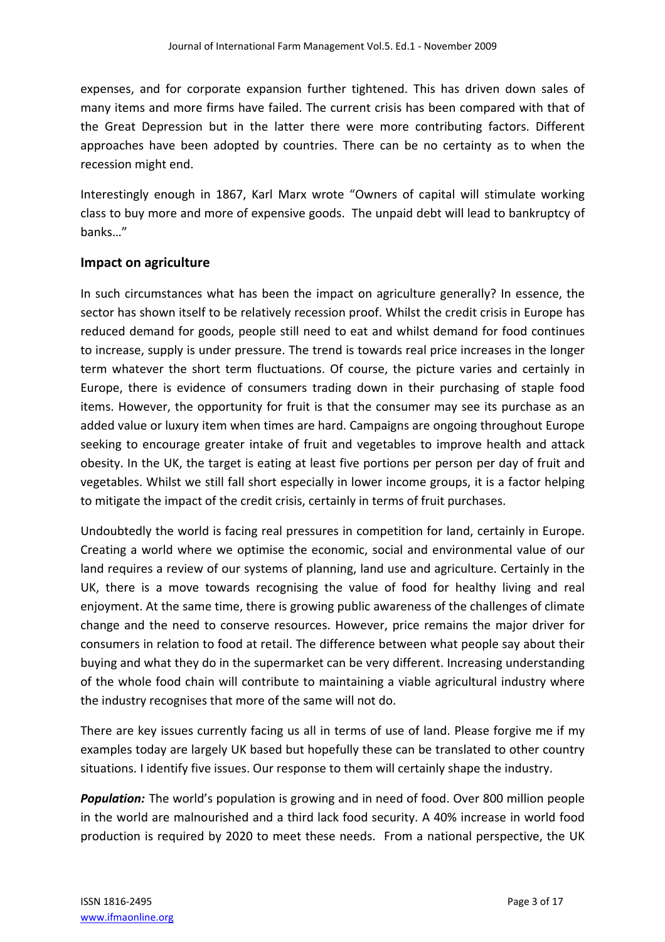expenses, and for corporate expansion further tightened. This has driven down sales of many items and more firms have failed. The current crisis has been compared with that of the Great Depression but in the latter there were more contributing factors. Different approaches have been adopted by countries. There can be no certainty as to when the recession might end.

Interestingly enough in 1867, Karl Marx wrote "Owners of capital will stimulate working class to buy more and more of expensive goods. The unpaid debt will lead to bankruptcy of banks…"

## **Impact on agriculture**

In such circumstances what has been the impact on agriculture generally? In essence, the sector has shown itself to be relatively recession proof. Whilst the credit crisis in Europe has reduced demand for goods, people still need to eat and whilst demand for food continues to increase, supply is under pressure. The trend is towards real price increases in the longer term whatever the short term fluctuations. Of course, the picture varies and certainly in Europe, there is evidence of consumers trading down in their purchasing of staple food items. However, the opportunity for fruit is that the consumer may see its purchase as an added value or luxury item when times are hard. Campaigns are ongoing throughout Europe seeking to encourage greater intake of fruit and vegetables to improve health and attack obesity. In the UK, the target is eating at least five portions per person per day of fruit and vegetables. Whilst we still fall short especially in lower income groups, it is a factor helping to mitigate the impact of the credit crisis, certainly in terms of fruit purchases.

Undoubtedly the world is facing real pressures in competition for land, certainly in Europe. Creating a world where we optimise the economic, social and environmental value of our land requires a review of our systems of planning, land use and agriculture. Certainly in the UK, there is a move towards recognising the value of food for healthy living and real enjoyment. At the same time, there is growing public awareness of the challenges of climate change and the need to conserve resources. However, price remains the major driver for consumers in relation to food at retail. The difference between what people say about their buying and what they do in the supermarket can be very different. Increasing understanding of the whole food chain will contribute to maintaining a viable agricultural industry where the industry recognises that more of the same will not do.

There are key issues currently facing us all in terms of use of land. Please forgive me if my examples today are largely UK based but hopefully these can be translated to other country situations. I identify five issues. Our response to them will certainly shape the industry.

*Population:* The world's population is growing and in need of food. Over 800 million people in the world are malnourished and a third lack food security. A 40% increase in world food production is required by 2020 to meet these needs. From a national perspective, the UK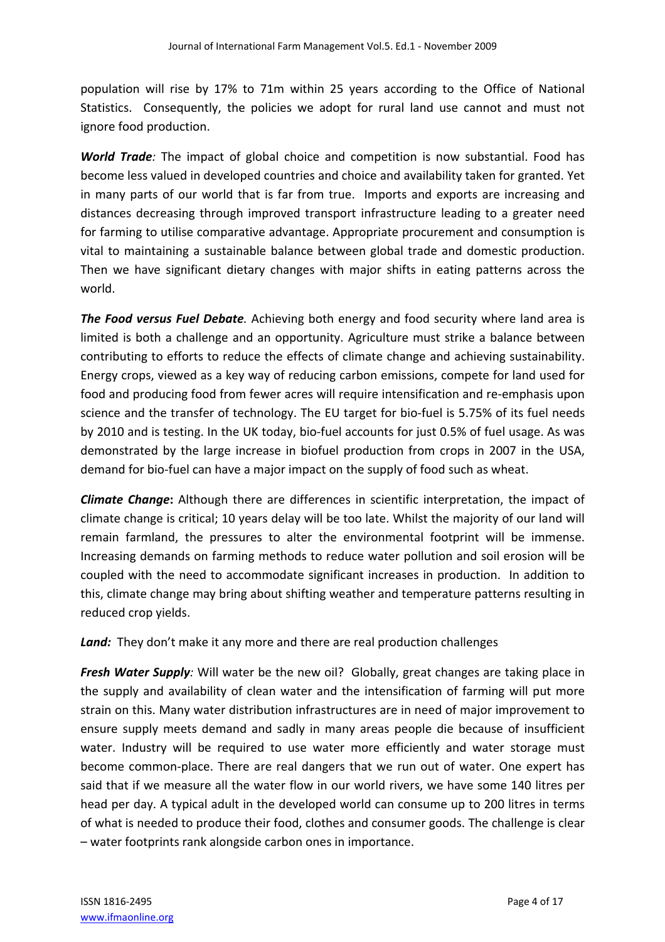population will rise by 17% to 71m within 25 years according to the Office of National Statistics. Consequently, the policies we adopt for rural land use cannot and must not ignore food production.

*World Trade:* The impact of global choice and competition is now substantial. Food has become less valued in developed countries and choice and availability taken for granted. Yet in many parts of our world that is far from true. Imports and exports are increasing and distances decreasing through improved transport infrastructure leading to a greater need for farming to utilise comparative advantage. Appropriate procurement and consumption is vital to maintaining a sustainable balance between global trade and domestic production. Then we have significant dietary changes with major shifts in eating patterns across the world.

*The Food versus Fuel Debate.* Achieving both energy and food security where land area is limited is both a challenge and an opportunity. Agriculture must strike a balance between contributing to efforts to reduce the effects of climate change and achieving sustainability. Energy crops, viewed as a key way of reducing carbon emissions, compete for land used for food and producing food from fewer acres will require intensification and re‐emphasis upon science and the transfer of technology. The EU target for bio-fuel is 5.75% of its fuel needs by 2010 and is testing. In the UK today, bio-fuel accounts for just 0.5% of fuel usage. As was demonstrated by the large increase in biofuel production from crops in 2007 in the USA, demand for bio‐fuel can have a major impact on the supply of food such as wheat.

*Climate Change***:** Although there are differences in scientific interpretation, the impact of climate change is critical; 10 years delay will be too late. Whilst the majority of our land will remain farmland, the pressures to alter the environmental footprint will be immense. Increasing demands on farming methods to reduce water pollution and soil erosion will be coupled with the need to accommodate significant increases in production. In addition to this, climate change may bring about shifting weather and temperature patterns resulting in reduced crop yields.

Land: They don't make it any more and there are real production challenges

*Fresh Water Supply:* Will water be the new oil? Globally, great changes are taking place in the supply and availability of clean water and the intensification of farming will put more strain on this. Many water distribution infrastructures are in need of major improvement to ensure supply meets demand and sadly in many areas people die because of insufficient water. Industry will be required to use water more efficiently and water storage must become common‐place. There are real dangers that we run out of water. One expert has said that if we measure all the water flow in our world rivers, we have some 140 litres per head per day. A typical adult in the developed world can consume up to 200 litres in terms of what is needed to produce their food, clothes and consumer goods. The challenge is clear – water footprints rank alongside carbon ones in importance.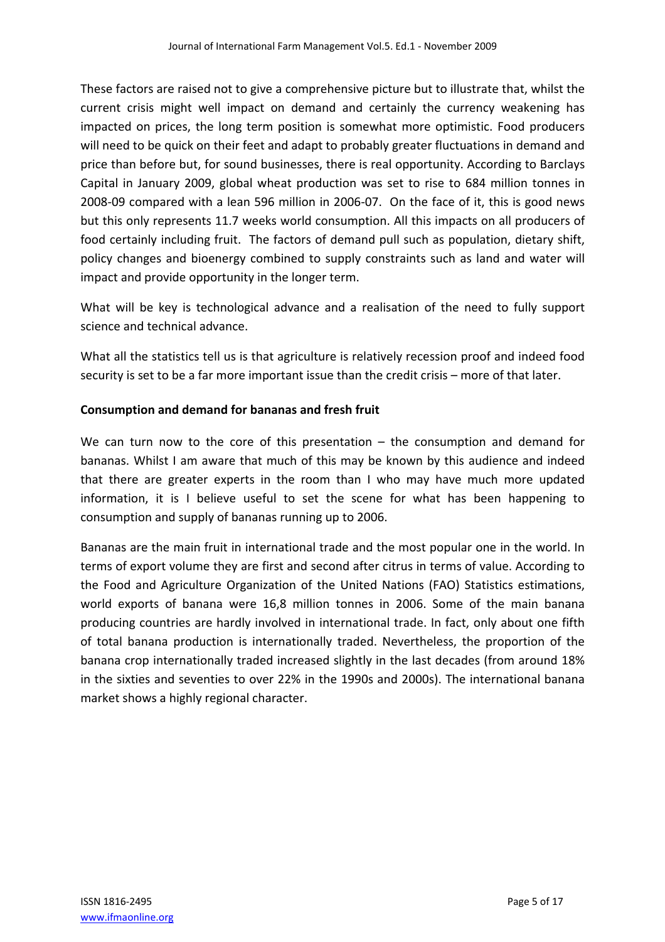These factors are raised not to give a comprehensive picture but to illustrate that, whilst the current crisis might well impact on demand and certainly the currency weakening has impacted on prices, the long term position is somewhat more optimistic. Food producers will need to be quick on their feet and adapt to probably greater fluctuations in demand and price than before but, for sound businesses, there is real opportunity. According to Barclays Capital in January 2009, global wheat production was set to rise to 684 million tonnes in 2008‐09 compared with a lean 596 million in 2006‐07. On the face of it, this is good news but this only represents 11.7 weeks world consumption. All this impacts on all producers of food certainly including fruit. The factors of demand pull such as population, dietary shift, policy changes and bioenergy combined to supply constraints such as land and water will impact and provide opportunity in the longer term.

What will be key is technological advance and a realisation of the need to fully support science and technical advance.

What all the statistics tell us is that agriculture is relatively recession proof and indeed food security is set to be a far more important issue than the credit crisis – more of that later.

#### **Consumption and demand for bananas and fresh fruit**

We can turn now to the core of this presentation – the consumption and demand for bananas. Whilst I am aware that much of this may be known by this audience and indeed that there are greater experts in the room than I who may have much more updated information, it is I believe useful to set the scene for what has been happening to consumption and supply of bananas running up to 2006.

Bananas are the main fruit in international trade and the most popular one in the world. In terms of export volume they are first and second after citrus in terms of value. According to the Food and Agriculture Organization of the United Nations (FAO) Statistics estimations, world exports of banana were 16,8 million tonnes in 2006. Some of the main banana producing countries are hardly involved in international trade. In fact, only about one fifth of total banana production is internationally traded. Nevertheless, the proportion of the banana crop internationally traded increased slightly in the last decades (from around 18% in the sixties and seventies to over 22% in the 1990s and 2000s). The international banana market shows a highly regional character.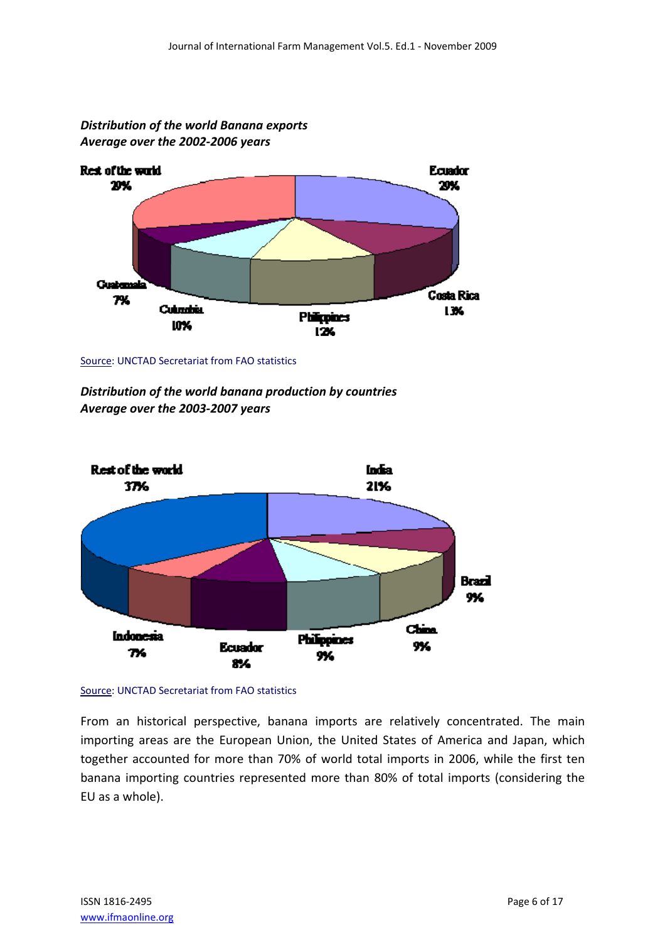

*Distribution of the world Banana exports Average over the 2002‐2006 years*

Source: UNCTAD Secretariat from FAO statistics

*Distribution of the world banana production by countries Average over the 2003‐2007 years*





From an historical perspective, banana imports are relatively concentrated. The main importing areas are the European Union, the United States of America and Japan, which together accounted for more than 70% of world total imports in 2006, while the first ten banana importing countries represented more than 80% of total imports (considering the EU as a whole).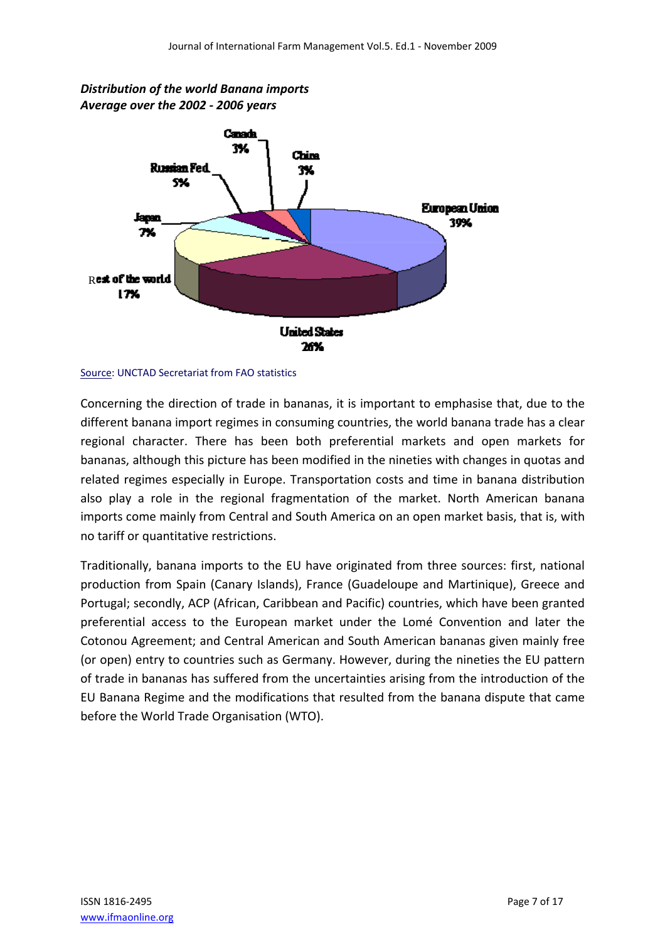

*Distribution of the world Banana imports Average over the 2002 ‐ 2006 years*

Source: UNCTAD Secretariat from FAO statistics

Concerning the direction of trade in bananas, it is important to emphasise that, due to the different banana import regimes in consuming countries, the world banana trade has a clear regional character. There has been both preferential markets and open markets for bananas, although this picture has been modified in the nineties with changes in quotas and related regimes especially in Europe. Transportation costs and time in banana distribution also play a role in the regional fragmentation of the market. North American banana imports come mainly from Central and South America on an open market basis, that is, with no tariff or quantitative restrictions.

Traditionally, banana imports to the EU have originated from three sources: first, national production from Spain (Canary Islands), France (Guadeloupe and Martinique), Greece and Portugal; secondly, ACP (African, Caribbean and Pacific) countries, which have been granted preferential access to the European market under the Lomé Convention and later the Cotonou Agreement; and Central American and South American bananas given mainly free (or open) entry to countries such as Germany. However, during the nineties the EU pattern of trade in bananas has suffered from the uncertainties arising from the introduction of the EU Banana Regime and the modifications that resulted from the banana dispute that came before the World Trade Organisation (WTO).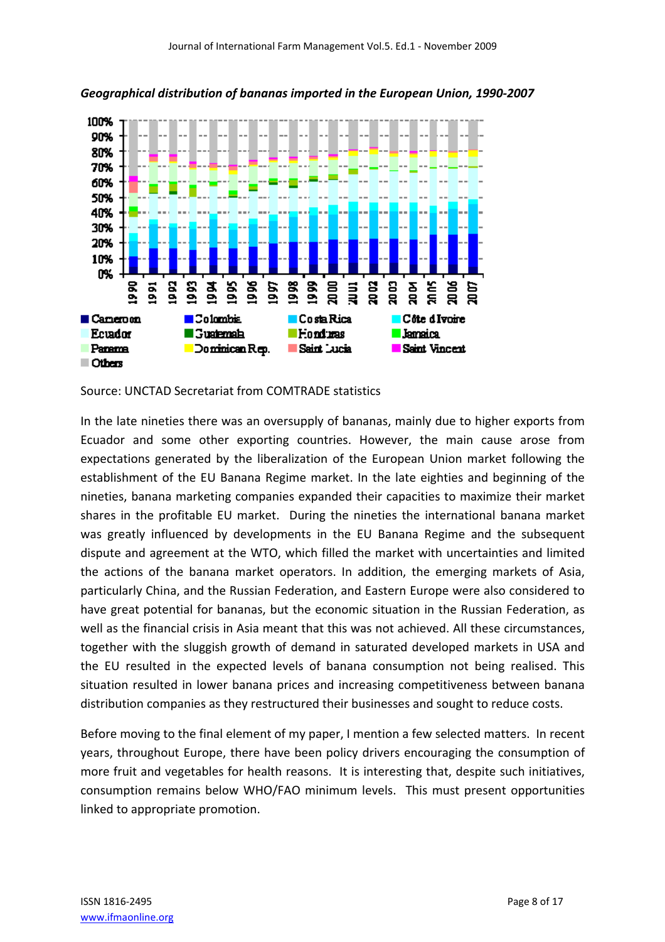

*Geographical distribution of bananas imported in the European Union, 1990‐2007*

Source: UNCTAD Secretariat from COMTRADE statistics

In the late nineties there was an oversupply of bananas, mainly due to higher exports from Ecuador and some other exporting countries. However, the main cause arose from expectations generated by the liberalization of the European Union market following the establishment of the EU Banana Regime market. In the late eighties and beginning of the nineties, banana marketing companies expanded their capacities to maximize their market shares in the profitable EU market. During the nineties the international banana market was greatly influenced by developments in the EU Banana Regime and the subsequent dispute and agreement at the WTO, which filled the market with uncertainties and limited the actions of the banana market operators. In addition, the emerging markets of Asia, particularly China, and the Russian Federation, and Eastern Europe were also considered to have great potential for bananas, but the economic situation in the Russian Federation, as well as the financial crisis in Asia meant that this was not achieved. All these circumstances, together with the sluggish growth of demand in saturated developed markets in USA and the EU resulted in the expected levels of banana consumption not being realised. This situation resulted in lower banana prices and increasing competitiveness between banana distribution companies as they restructured their businesses and sought to reduce costs.

Before moving to the final element of my paper, I mention a few selected matters. In recent years, throughout Europe, there have been policy drivers encouraging the consumption of more fruit and vegetables for health reasons. It is interesting that, despite such initiatives, consumption remains below WHO/FAO minimum levels. This must present opportunities linked to appropriate promotion.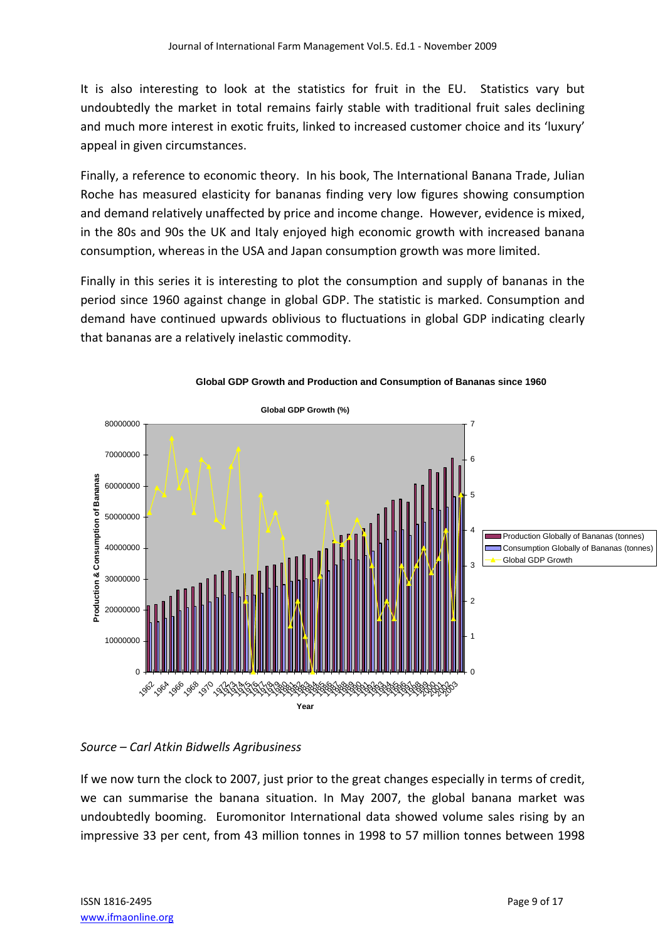It is also interesting to look at the statistics for fruit in the EU. Statistics vary but undoubtedly the market in total remains fairly stable with traditional fruit sales declining and much more interest in exotic fruits, linked to increased customer choice and its 'luxury' appeal in given circumstances.

Finally, a reference to economic theory. In his book, The International Banana Trade, Julian Roche has measured elasticity for bananas finding very low figures showing consumption and demand relatively unaffected by price and income change. However, evidence is mixed, in the 80s and 90s the UK and Italy enjoyed high economic growth with increased banana consumption, whereas in the USA and Japan consumption growth was more limited.

Finally in this series it is interesting to plot the consumption and supply of bananas in the period since 1960 against change in global GDP. The statistic is marked. Consumption and demand have continued upwards oblivious to fluctuations in global GDP indicating clearly that bananas are a relatively inelastic commodity.





#### *Source – Carl Atkin Bidwells Agribusiness*

If we now turn the clock to 2007, just prior to the great changes especially in terms of credit, we can summarise the banana situation. In May 2007, the global banana market was undoubtedly booming. Euromonitor International data showed volume sales rising by an impressive 33 per cent, from 43 million tonnes in 1998 to 57 million tonnes between 1998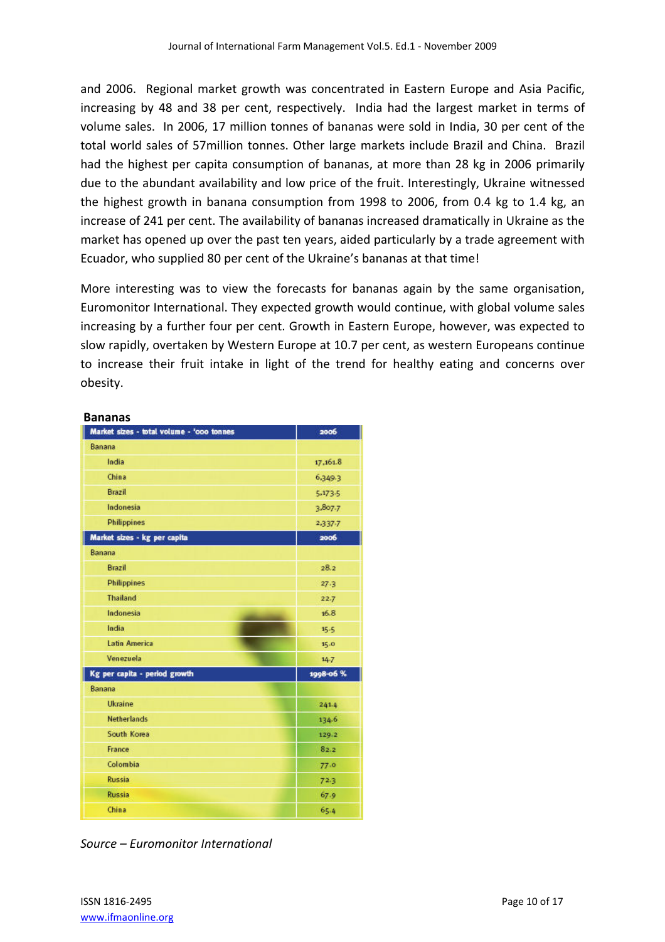and 2006. Regional market growth was concentrated in Eastern Europe and Asia Pacific, increasing by 48 and 38 per cent, respectively. India had the largest market in terms of volume sales. In 2006, 17 million tonnes of bananas were sold in India, 30 per cent of the total world sales of 57million tonnes. Other large markets include Brazil and China. Brazil had the highest per capita consumption of bananas, at more than 28 kg in 2006 primarily due to the abundant availability and low price of the fruit. Interestingly, Ukraine witnessed the highest growth in banana consumption from 1998 to 2006, from 0.4 kg to 1.4 kg, an increase of 241 per cent. The availability of bananas increased dramatically in Ukraine as the market has opened up over the past ten years, aided particularly by a trade agreement with Ecuador, who supplied 80 per cent of the Ukraine's bananas at that time!

More interesting was to view the forecasts for bananas again by the same organisation, Euromonitor International. They expected growth would continue, with global volume sales increasing by a further four per cent. Growth in Eastern Europe, however, was expected to slow rapidly, overtaken by Western Europe at 10.7 per cent, as western Europeans continue to increase their fruit intake in light of the trend for healthy eating and concerns over obesity.

#### **Bananas**

| Market sizes - total volume - 'ooo tonnes | 2006      |
|-------------------------------------------|-----------|
| Banana                                    |           |
| India                                     | 17,161.8  |
| China                                     | 6,349.3   |
| Brazil                                    | 5,173.5   |
| Indonesia                                 | 3,807.7   |
| Philippines                               | 2,337-7   |
| Market sizes - kg per capita              | 2006      |
| Banana                                    |           |
| Brazil                                    | 28.2      |
| Philippines                               | 27.3      |
| <b>Thailand</b>                           | 22.7      |
| Indonesia<br><b>STATISTICS</b>            | 16.8      |
| India                                     | 15.5      |
| <b>Latin America</b>                      | 15.0      |
| Venezuela                                 | $14 - 7$  |
| Kg per capita - period growth             | 1998-06 % |
| Banana                                    |           |
| Ukraine                                   | 241.4     |
| <b>Netherlands</b>                        | 134.6     |
| South Korea                               | 129.2     |
| France                                    | 82.2      |
| Colombia                                  | 77.0      |
| <b>Russia</b>                             | 72.3      |
| <b>Russia</b>                             | 67.9      |
| China                                     | 65.4      |

*Source – Euromonitor International*

ISSN 1816‐2495 Page 10 of 17 www.ifmaonline.org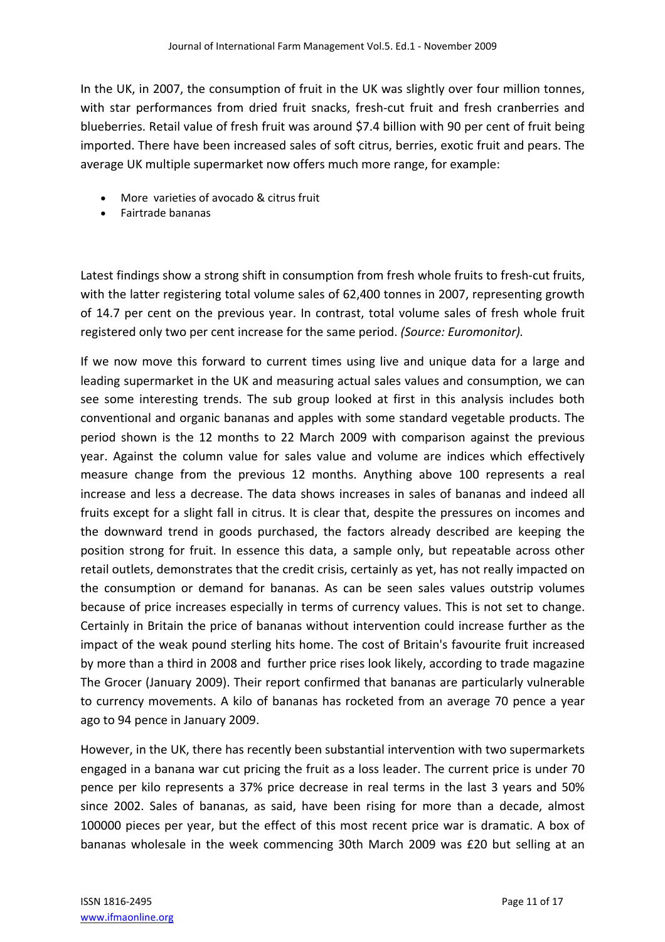In the UK, in 2007, the consumption of fruit in the UK was slightly over four million tonnes, with star performances from dried fruit snacks, fresh-cut fruit and fresh cranberries and blueberries. Retail value of fresh fruit was around \$7.4 billion with 90 per cent of fruit being imported. There have been increased sales of soft citrus, berries, exotic fruit and pears. The average UK multiple supermarket now offers much more range, for example:

- More varieties of avocado & citrus fruit
- Fairtrade bananas

Latest findings show a strong shift in consumption from fresh whole fruits to fresh-cut fruits, with the latter registering total volume sales of 62,400 tonnes in 2007, representing growth of 14.7 per cent on the previous year. In contrast, total volume sales of fresh whole fruit registered only two per cent increase for the same period. *(Source: Euromonitor).*

If we now move this forward to current times using live and unique data for a large and leading supermarket in the UK and measuring actual sales values and consumption, we can see some interesting trends. The sub group looked at first in this analysis includes both conventional and organic bananas and apples with some standard vegetable products. The period shown is the 12 months to 22 March 2009 with comparison against the previous year. Against the column value for sales value and volume are indices which effectively measure change from the previous 12 months. Anything above 100 represents a real increase and less a decrease. The data shows increases in sales of bananas and indeed all fruits except for a slight fall in citrus. It is clear that, despite the pressures on incomes and the downward trend in goods purchased, the factors already described are keeping the position strong for fruit. In essence this data, a sample only, but repeatable across other retail outlets, demonstrates that the credit crisis, certainly as yet, has not really impacted on the consumption or demand for bananas. As can be seen sales values outstrip volumes because of price increases especially in terms of currency values. This is not set to change. Certainly in Britain the price of bananas without intervention could increase further as the impact of the weak pound sterling hits home. The cost of Britain's favourite fruit increased by more than a third in 2008 and further price rises look likely, according to trade magazine The Grocer (January 2009). Their report confirmed that bananas are particularly vulnerable to currency movements. A kilo of bananas has rocketed from an average 70 pence a year ago to 94 pence in January 2009.

However, in the UK, there has recently been substantial intervention with two supermarkets engaged in a banana war cut pricing the fruit as a loss leader. The current price is under 70 pence per kilo represents a 37% price decrease in real terms in the last 3 years and 50% since 2002. Sales of bananas, as said, have been rising for more than a decade, almost 100000 pieces per year, but the effect of this most recent price war is dramatic. A box of bananas wholesale in the week commencing 30th March 2009 was £20 but selling at an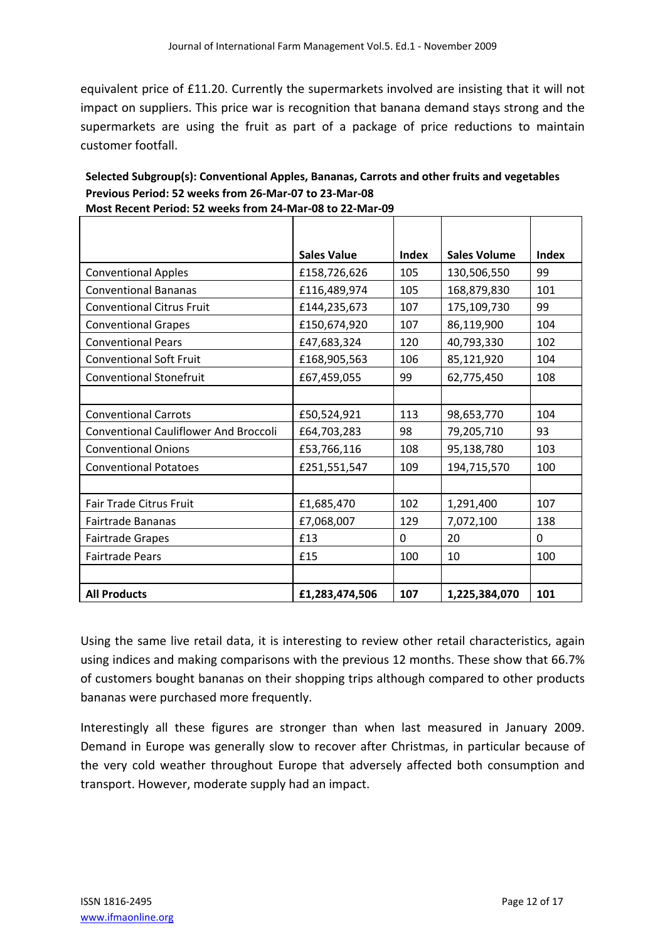equivalent price of £11.20. Currently the supermarkets involved are insisting that it will not impact on suppliers. This price war is recognition that banana demand stays strong and the supermarkets are using the fruit as part of a package of price reductions to maintain customer footfall.

|                                              | <b>Sales Value</b> | Index | <b>Sales Volume</b> | Index    |
|----------------------------------------------|--------------------|-------|---------------------|----------|
| <b>Conventional Apples</b>                   | £158,726,626       | 105   | 130,506,550         | 99       |
| <b>Conventional Bananas</b>                  | £116,489,974       | 105   | 168,879,830         | 101      |
| <b>Conventional Citrus Fruit</b>             | £144,235,673       | 107   | 175,109,730         | 99       |
| <b>Conventional Grapes</b>                   | £150,674,920       | 107   | 86,119,900          | 104      |
| <b>Conventional Pears</b>                    | £47,683,324        | 120   | 40,793,330          | 102      |
| <b>Conventional Soft Fruit</b>               | £168,905,563       | 106   | 85,121,920          | 104      |
| <b>Conventional Stonefruit</b>               | £67,459,055        | 99    | 62,775,450          | 108      |
|                                              |                    |       |                     |          |
| <b>Conventional Carrots</b>                  | £50,524,921        | 113   | 98,653,770          | 104      |
| <b>Conventional Cauliflower And Broccoli</b> | £64,703,283        | 98    | 79,205,710          | 93       |
| <b>Conventional Onions</b>                   | £53,766,116        | 108   | 95,138,780          | 103      |
| <b>Conventional Potatoes</b>                 | £251,551,547       | 109   | 194,715,570         | 100      |
|                                              |                    |       |                     |          |
| <b>Fair Trade Citrus Fruit</b>               | £1,685,470         | 102   | 1,291,400           | 107      |
| Fairtrade Bananas                            | £7,068,007         | 129   | 7,072,100           | 138      |
| <b>Fairtrade Grapes</b>                      | £13                | 0     | 20                  | $\Omega$ |
| <b>Fairtrade Pears</b>                       | £15                | 100   | 10                  | 100      |
|                                              |                    |       |                     |          |
| <b>All Products</b>                          | £1,283,474,506     | 107   | 1,225,384,070       | 101      |

**Selected Subgroup(s): Conventional Apples, Bananas, Carrots and other fruits and vegetables Previous Period: 52 weeks from 26‐Mar‐07 to 23‐Mar‐08 Most Recent Period: 52 weeks from 24‐Mar‐08 to 22‐Mar‐09**

Using the same live retail data, it is interesting to review other retail characteristics, again using indices and making comparisons with the previous 12 months. These show that 66.7% of customers bought bananas on their shopping trips although compared to other products bananas were purchased more frequently.

Interestingly all these figures are stronger than when last measured in January 2009. Demand in Europe was generally slow to recover after Christmas, in particular because of the very cold weather throughout Europe that adversely affected both consumption and transport. However, moderate supply had an impact.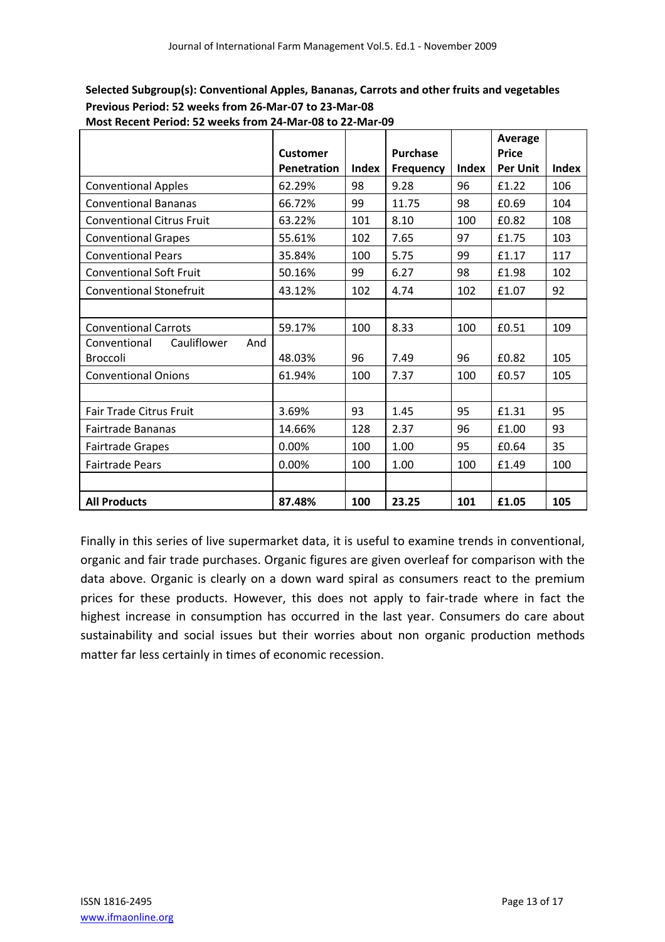|                                    |                 |              |                 |              | Average         |              |
|------------------------------------|-----------------|--------------|-----------------|--------------|-----------------|--------------|
|                                    | <b>Customer</b> |              | <b>Purchase</b> |              | <b>Price</b>    |              |
|                                    | Penetration     | <b>Index</b> | Frequency       | <b>Index</b> | <b>Per Unit</b> | <b>Index</b> |
| <b>Conventional Apples</b>         | 62.29%          | 98           | 9.28            | 96           | £1.22           | 106          |
| <b>Conventional Bananas</b>        | 66.72%          | 99           | 11.75           | 98           | £0.69           | 104          |
| <b>Conventional Citrus Fruit</b>   | 63.22%          | 101          | 8.10            | 100          | £0.82           | 108          |
| <b>Conventional Grapes</b>         | 55.61%          | 102          | 7.65            | 97           | £1.75           | 103          |
| <b>Conventional Pears</b>          | 35.84%          | 100          | 5.75            | 99           | £1.17           | 117          |
| <b>Conventional Soft Fruit</b>     | 50.16%          | 99           | 6.27            | 98           | £1.98           | 102          |
| <b>Conventional Stonefruit</b>     | 43.12%          | 102          | 4.74            | 102          | £1.07           | 92           |
|                                    |                 |              |                 |              |                 |              |
| <b>Conventional Carrots</b>        | 59.17%          | 100          | 8.33            | 100          | £0.51           | 109          |
| Cauliflower<br>Conventional<br>And |                 |              |                 |              |                 |              |
| <b>Broccoli</b>                    | 48.03%          | 96           | 7.49            | 96           | £0.82           | 105          |
| <b>Conventional Onions</b>         | 61.94%          | 100          | 7.37            | 100          | £0.57           | 105          |
|                                    |                 |              |                 |              |                 |              |
| Fair Trade Citrus Fruit            | 3.69%           | 93           | 1.45            | 95           | £1.31           | 95           |
| <b>Fairtrade Bananas</b>           | 14.66%          | 128          | 2.37            | 96           | £1.00           | 93           |
| <b>Fairtrade Grapes</b>            | 0.00%           | 100          | 1.00            | 95           | £0.64           | 35           |
| <b>Fairtrade Pears</b>             | 0.00%           | 100          | 1.00            | 100          | £1.49           | 100          |
|                                    |                 |              |                 |              |                 |              |
| <b>All Products</b>                | 87.48%          | 100          | 23.25           | 101          | £1.05           | 105          |

**Selected Subgroup(s): Conventional Apples, Bananas, Carrots and other fruits and vegetables Previous Period: 52 weeks from 26‐Mar‐07 to 23‐Mar‐08 Most Recent Period: 52 weeks from 24‐Mar‐08 to 22‐Mar‐09**

Finally in this series of live supermarket data, it is useful to examine trends in conventional, organic and fair trade purchases. Organic figures are given overleaf for comparison with the data above. Organic is clearly on a down ward spiral as consumers react to the premium prices for these products. However, this does not apply to fair-trade where in fact the highest increase in consumption has occurred in the last year. Consumers do care about sustainability and social issues but their worries about non organic production methods matter far less certainly in times of economic recession.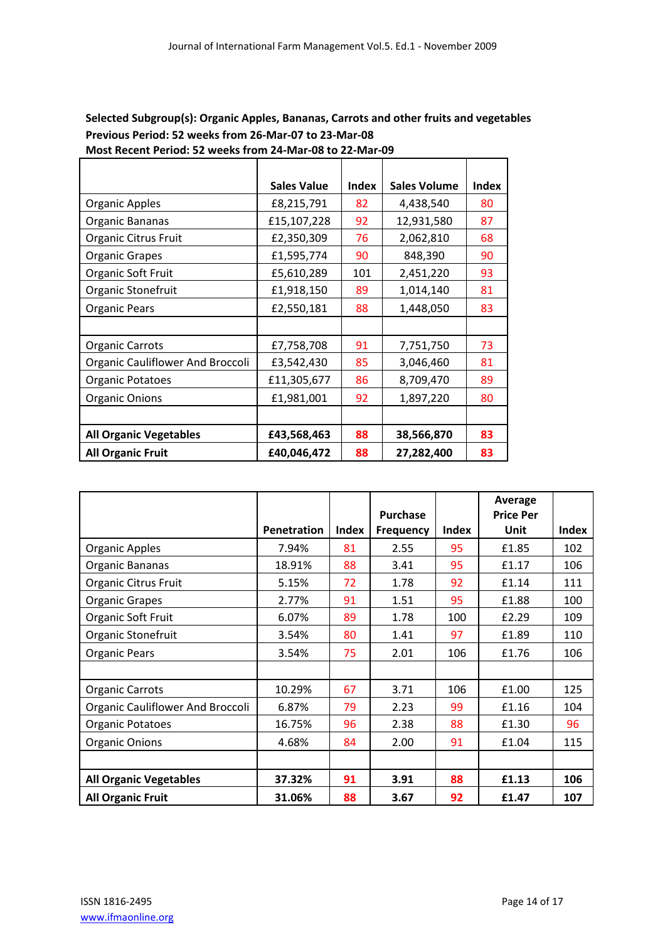#### **Selected Subgroup(s): Organic Apples, Bananas, Carrots and other fruits and vegetables Previous Period: 52 weeks from 26‐Mar‐07 to 23‐Mar‐08 Most Recent Period: 52 weeks from 24‐Mar‐08 to 22‐Mar‐09**

|                                  | <b>Sales Value</b> | <b>Index</b> | <b>Sales Volume</b> | <b>Index</b> |
|----------------------------------|--------------------|--------------|---------------------|--------------|
| <b>Organic Apples</b>            | £8,215,791         | 82           | 4,438,540           | 80           |
| Organic Bananas                  | £15,107,228        | 92           | 12,931,580          | 87           |
| Organic Citrus Fruit             | £2,350,309         | 76           | 2,062,810           | 68           |
| <b>Organic Grapes</b>            | £1,595,774         | 90           | 848,390             | 90           |
| Organic Soft Fruit               | £5,610,289         | 101          | 2,451,220           | 93           |
| Organic Stonefruit               | £1,918,150         | 89           | 1,014,140           | 81           |
| <b>Organic Pears</b>             | £2,550,181         | 88           | 1,448,050           | 83           |
|                                  |                    |              |                     |              |
| <b>Organic Carrots</b>           | £7,758,708         | 91           | 7,751,750           | 73           |
| Organic Cauliflower And Broccoli | £3,542,430         | 85           | 3,046,460           | 81           |
| <b>Organic Potatoes</b>          | £11,305,677        | 86           | 8,709,470           | 89           |
| <b>Organic Onions</b>            | £1,981,001         | 92           | 1,897,220           | 80           |
|                                  |                    |              |                     |              |
| <b>All Organic Vegetables</b>    | £43,568,463        | 88           | 38,566,870          | 83           |
| <b>All Organic Fruit</b>         | £40,046,472        | 88           | 27,282,400          | 83           |

|                                         |                    |       | Purchase         |              | Average<br><b>Price Per</b> |              |
|-----------------------------------------|--------------------|-------|------------------|--------------|-----------------------------|--------------|
|                                         | <b>Penetration</b> | Index | <b>Frequency</b> | <b>Index</b> | Unit                        | <b>Index</b> |
| <b>Organic Apples</b>                   | 7.94%              | 81    | 2.55             | 95           | £1.85                       | 102          |
| Organic Bananas                         | 18.91%             | 88    | 3.41             | 95           | £1.17                       | 106          |
| Organic Citrus Fruit                    | 5.15%              | 72    | 1.78             | 92           | £1.14                       | 111          |
| <b>Organic Grapes</b>                   | 2.77%              | 91    | 1.51             | 95           | £1.88                       | 100          |
| Organic Soft Fruit                      | 6.07%              | 89    | 1.78             | 100          | £2.29                       | 109          |
| Organic Stonefruit                      | 3.54%              | 80    | 1.41             | 97           | £1.89                       | 110          |
| <b>Organic Pears</b>                    | 3.54%              | 75    | 2.01             | 106          | £1.76                       | 106          |
|                                         |                    |       |                  |              |                             |              |
| <b>Organic Carrots</b>                  | 10.29%             | 67    | 3.71             | 106          | £1.00                       | 125          |
| <b>Organic Cauliflower And Broccoli</b> | 6.87%              | 79    | 2.23             | 99           | £1.16                       | 104          |
| <b>Organic Potatoes</b>                 | 16.75%             | 96    | 2.38             | 88           | £1.30                       | 96           |
| <b>Organic Onions</b>                   | 4.68%              | 84    | 2.00             | 91           | £1.04                       | 115          |
|                                         |                    |       |                  |              |                             |              |
| <b>All Organic Vegetables</b>           | 37.32%             | 91    | 3.91             | 88           | £1.13                       | 106          |
| <b>All Organic Fruit</b>                | 31.06%             | 88    | 3.67             | 92           | £1.47                       | 107          |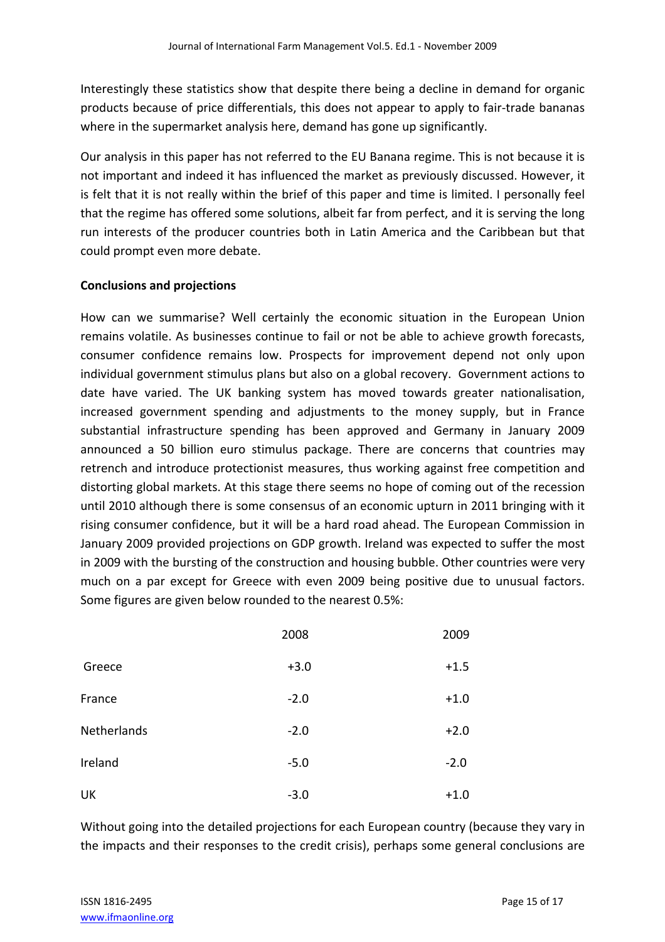Interestingly these statistics show that despite there being a decline in demand for organic products because of price differentials, this does not appear to apply to fair‐trade bananas where in the supermarket analysis here, demand has gone up significantly.

Our analysis in this paper has not referred to the EU Banana regime. This is not because it is not important and indeed it has influenced the market as previously discussed. However, it is felt that it is not really within the brief of this paper and time is limited. I personally feel that the regime has offered some solutions, albeit far from perfect, and it is serving the long run interests of the producer countries both in Latin America and the Caribbean but that could prompt even more debate.

#### **Conclusions and projections**

How can we summarise? Well certainly the economic situation in the European Union remains volatile. As businesses continue to fail or not be able to achieve growth forecasts, consumer confidence remains low. Prospects for improvement depend not only upon individual government stimulus plans but also on a global recovery. Government actions to date have varied. The UK banking system has moved towards greater nationalisation, increased government spending and adjustments to the money supply, but in France substantial infrastructure spending has been approved and Germany in January 2009 announced a 50 billion euro stimulus package. There are concerns that countries may retrench and introduce protectionist measures, thus working against free competition and distorting global markets. At this stage there seems no hope of coming out of the recession until 2010 although there is some consensus of an economic upturn in 2011 bringing with it rising consumer confidence, but it will be a hard road ahead. The European Commission in January 2009 provided projections on GDP growth. Ireland was expected to suffer the most in 2009 with the bursting of the construction and housing bubble. Other countries were very much on a par except for Greece with even 2009 being positive due to unusual factors. Some figures are given below rounded to the nearest 0.5%:

|             | 2008   | 2009   |
|-------------|--------|--------|
| Greece      | $+3.0$ | $+1.5$ |
| France      | $-2.0$ | $+1.0$ |
| Netherlands | $-2.0$ | $+2.0$ |
| Ireland     | $-5.0$ | $-2.0$ |
| UK          | $-3.0$ | $+1.0$ |

Without going into the detailed projections for each European country (because they vary in the impacts and their responses to the credit crisis), perhaps some general conclusions are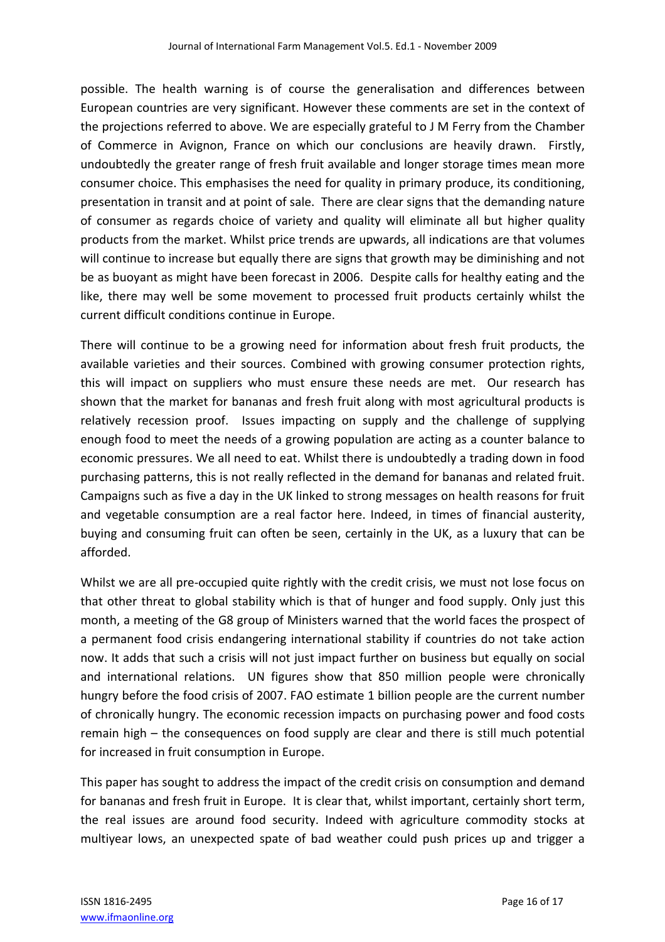possible. The health warning is of course the generalisation and differences between European countries are very significant. However these comments are set in the context of the projections referred to above. We are especially grateful to J M Ferry from the Chamber of Commerce in Avignon, France on which our conclusions are heavily drawn. Firstly, undoubtedly the greater range of fresh fruit available and longer storage times mean more consumer choice. This emphasises the need for quality in primary produce, its conditioning, presentation in transit and at point of sale. There are clear signs that the demanding nature of consumer as regards choice of variety and quality will eliminate all but higher quality products from the market. Whilst price trends are upwards, all indications are that volumes will continue to increase but equally there are signs that growth may be diminishing and not be as buoyant as might have been forecast in 2006. Despite calls for healthy eating and the like, there may well be some movement to processed fruit products certainly whilst the current difficult conditions continue in Europe.

There will continue to be a growing need for information about fresh fruit products, the available varieties and their sources. Combined with growing consumer protection rights, this will impact on suppliers who must ensure these needs are met. Our research has shown that the market for bananas and fresh fruit along with most agricultural products is relatively recession proof. Issues impacting on supply and the challenge of supplying enough food to meet the needs of a growing population are acting as a counter balance to economic pressures. We all need to eat. Whilst there is undoubtedly a trading down in food purchasing patterns, this is not really reflected in the demand for bananas and related fruit. Campaigns such as five a day in the UK linked to strong messages on health reasons for fruit and vegetable consumption are a real factor here. Indeed, in times of financial austerity, buying and consuming fruit can often be seen, certainly in the UK, as a luxury that can be afforded.

Whilst we are all pre-occupied quite rightly with the credit crisis, we must not lose focus on that other threat to global stability which is that of hunger and food supply. Only just this month, a meeting of the G8 group of Ministers warned that the world faces the prospect of a permanent food crisis endangering international stability if countries do not take action now. It adds that such a crisis will not just impact further on business but equally on social and international relations. UN figures show that 850 million people were chronically hungry before the food crisis of 2007. FAO estimate 1 billion people are the current number of chronically hungry. The economic recession impacts on purchasing power and food costs remain high – the consequences on food supply are clear and there is still much potential for increased in fruit consumption in Europe.

This paper has sought to address the impact of the credit crisis on consumption and demand for bananas and fresh fruit in Europe. It is clear that, whilst important, certainly short term, the real issues are around food security. Indeed with agriculture commodity stocks at multiyear lows, an unexpected spate of bad weather could push prices up and trigger a